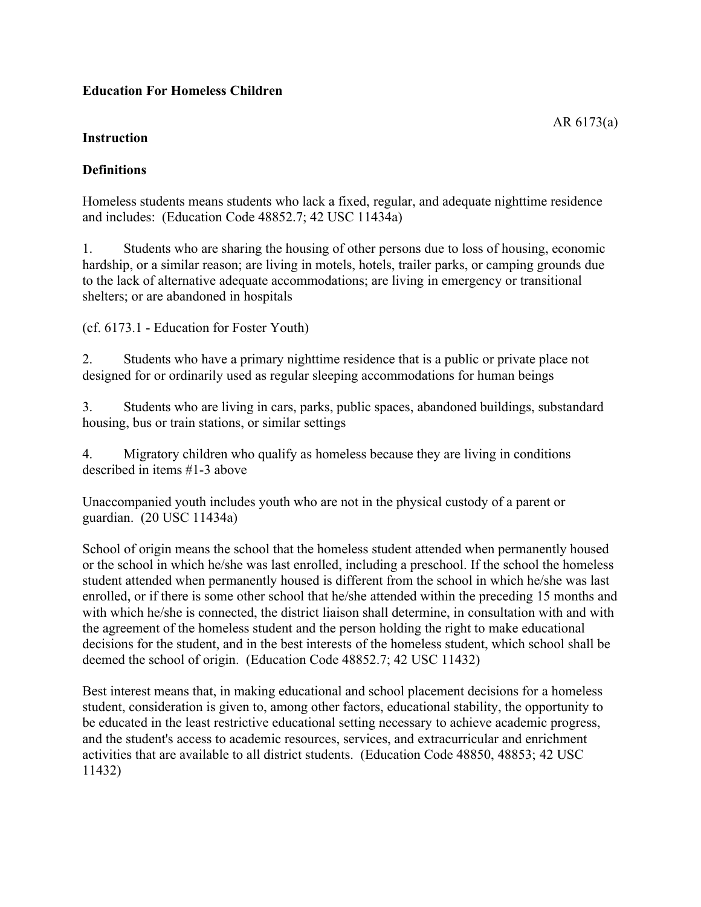# **Education For Homeless Children**

### **Instruction**

# **Definitions**

Homeless students means students who lack a fixed, regular, and adequate nighttime residence and includes: (Education Code 48852.7; 42 USC 11434a)

1. Students who are sharing the housing of other persons due to loss of housing, economic hardship, or a similar reason; are living in motels, hotels, trailer parks, or camping grounds due to the lack of alternative adequate accommodations; are living in emergency or transitional shelters; or are abandoned in hospitals

(cf. 6173.1 - Education for Foster Youth)

2. Students who have a primary nighttime residence that is a public or private place not designed for or ordinarily used as regular sleeping accommodations for human beings

3. Students who are living in cars, parks, public spaces, abandoned buildings, substandard housing, bus or train stations, or similar settings

4. Migratory children who qualify as homeless because they are living in conditions described in items #1-3 above

Unaccompanied youth includes youth who are not in the physical custody of a parent or guardian. (20 USC 11434a)

School of origin means the school that the homeless student attended when permanently housed or the school in which he/she was last enrolled, including a preschool. If the school the homeless student attended when permanently housed is different from the school in which he/she was last enrolled, or if there is some other school that he/she attended within the preceding 15 months and with which he/she is connected, the district liaison shall determine, in consultation with and with the agreement of the homeless student and the person holding the right to make educational decisions for the student, and in the best interests of the homeless student, which school shall be deemed the school of origin. (Education Code 48852.7; 42 USC 11432)

Best interest means that, in making educational and school placement decisions for a homeless student, consideration is given to, among other factors, educational stability, the opportunity to be educated in the least restrictive educational setting necessary to achieve academic progress, and the student's access to academic resources, services, and extracurricular and enrichment activities that are available to all district students. (Education Code 48850, 48853; 42 USC 11432)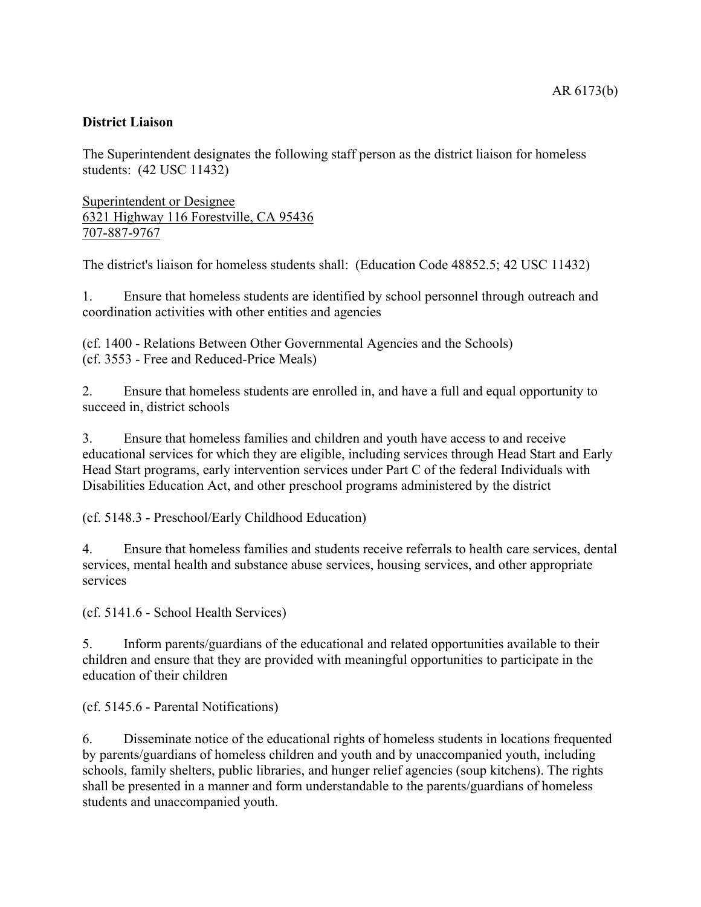## **District Liaison**

The Superintendent designates the following staff person as the district liaison for homeless students: (42 USC 11432)

Superintendent or Designee 6321 Highway 116 Forestville, CA 95436 707-887-9767

The district's liaison for homeless students shall: (Education Code 48852.5; 42 USC 11432)

1. Ensure that homeless students are identified by school personnel through outreach and coordination activities with other entities and agencies

(cf. 1400 - Relations Between Other Governmental Agencies and the Schools) (cf. 3553 - Free and Reduced-Price Meals)

2. Ensure that homeless students are enrolled in, and have a full and equal opportunity to succeed in, district schools

3. Ensure that homeless families and children and youth have access to and receive educational services for which they are eligible, including services through Head Start and Early Head Start programs, early intervention services under Part C of the federal Individuals with Disabilities Education Act, and other preschool programs administered by the district

(cf. 5148.3 - Preschool/Early Childhood Education)

4. Ensure that homeless families and students receive referrals to health care services, dental services, mental health and substance abuse services, housing services, and other appropriate services

(cf. 5141.6 - School Health Services)

5. Inform parents/guardians of the educational and related opportunities available to their children and ensure that they are provided with meaningful opportunities to participate in the education of their children

(cf. 5145.6 - Parental Notifications)

6. Disseminate notice of the educational rights of homeless students in locations frequented by parents/guardians of homeless children and youth and by unaccompanied youth, including schools, family shelters, public libraries, and hunger relief agencies (soup kitchens). The rights shall be presented in a manner and form understandable to the parents/guardians of homeless students and unaccompanied youth.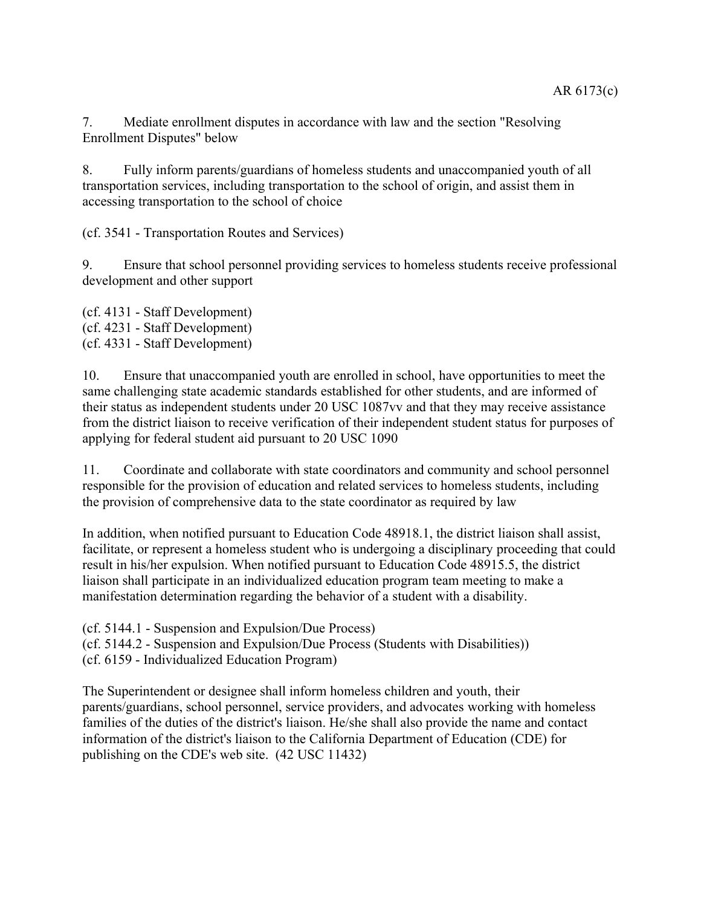7. Mediate enrollment disputes in accordance with law and the section "Resolving Enrollment Disputes" below

8. Fully inform parents/guardians of homeless students and unaccompanied youth of all transportation services, including transportation to the school of origin, and assist them in accessing transportation to the school of choice

(cf. 3541 - Transportation Routes and Services)

9. Ensure that school personnel providing services to homeless students receive professional development and other support

(cf. 4131 - Staff Development) (cf. 4231 - Staff Development) (cf. 4331 - Staff Development)

10. Ensure that unaccompanied youth are enrolled in school, have opportunities to meet the same challenging state academic standards established for other students, and are informed of their status as independent students under 20 USC 1087vv and that they may receive assistance from the district liaison to receive verification of their independent student status for purposes of applying for federal student aid pursuant to 20 USC 1090

11. Coordinate and collaborate with state coordinators and community and school personnel responsible for the provision of education and related services to homeless students, including the provision of comprehensive data to the state coordinator as required by law

In addition, when notified pursuant to Education Code 48918.1, the district liaison shall assist, facilitate, or represent a homeless student who is undergoing a disciplinary proceeding that could result in his/her expulsion. When notified pursuant to Education Code 48915.5, the district liaison shall participate in an individualized education program team meeting to make a manifestation determination regarding the behavior of a student with a disability.

(cf. 5144.1 - Suspension and Expulsion/Due Process)

(cf. 5144.2 - Suspension and Expulsion/Due Process (Students with Disabilities))

(cf. 6159 - Individualized Education Program)

The Superintendent or designee shall inform homeless children and youth, their parents/guardians, school personnel, service providers, and advocates working with homeless families of the duties of the district's liaison. He/she shall also provide the name and contact information of the district's liaison to the California Department of Education (CDE) for publishing on the CDE's web site. (42 USC 11432)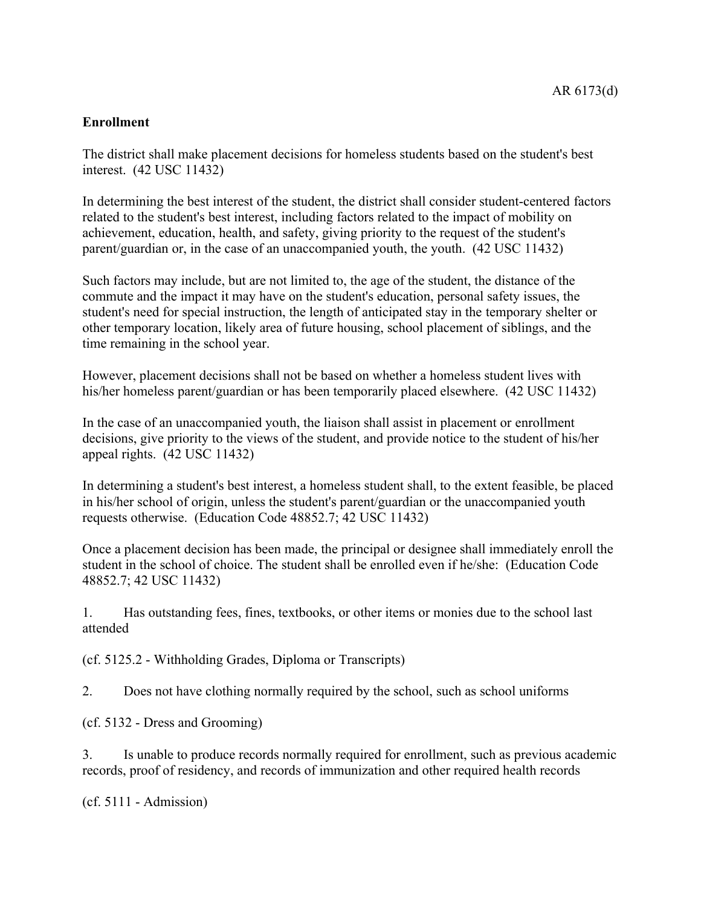# **Enrollment**

The district shall make placement decisions for homeless students based on the student's best interest. (42 USC 11432)

In determining the best interest of the student, the district shall consider student-centered factors related to the student's best interest, including factors related to the impact of mobility on achievement, education, health, and safety, giving priority to the request of the student's parent/guardian or, in the case of an unaccompanied youth, the youth. (42 USC 11432)

Such factors may include, but are not limited to, the age of the student, the distance of the commute and the impact it may have on the student's education, personal safety issues, the student's need for special instruction, the length of anticipated stay in the temporary shelter or other temporary location, likely area of future housing, school placement of siblings, and the time remaining in the school year.

However, placement decisions shall not be based on whether a homeless student lives with his/her homeless parent/guardian or has been temporarily placed elsewhere. (42 USC 11432)

In the case of an unaccompanied youth, the liaison shall assist in placement or enrollment decisions, give priority to the views of the student, and provide notice to the student of his/her appeal rights. (42 USC 11432)

In determining a student's best interest, a homeless student shall, to the extent feasible, be placed in his/her school of origin, unless the student's parent/guardian or the unaccompanied youth requests otherwise. (Education Code 48852.7; 42 USC 11432)

Once a placement decision has been made, the principal or designee shall immediately enroll the student in the school of choice. The student shall be enrolled even if he/she: (Education Code 48852.7; 42 USC 11432)

1. Has outstanding fees, fines, textbooks, or other items or monies due to the school last attended

(cf. 5125.2 - Withholding Grades, Diploma or Transcripts)

2. Does not have clothing normally required by the school, such as school uniforms

(cf. 5132 - Dress and Grooming)

3. Is unable to produce records normally required for enrollment, such as previous academic records, proof of residency, and records of immunization and other required health records

(cf. 5111 - Admission)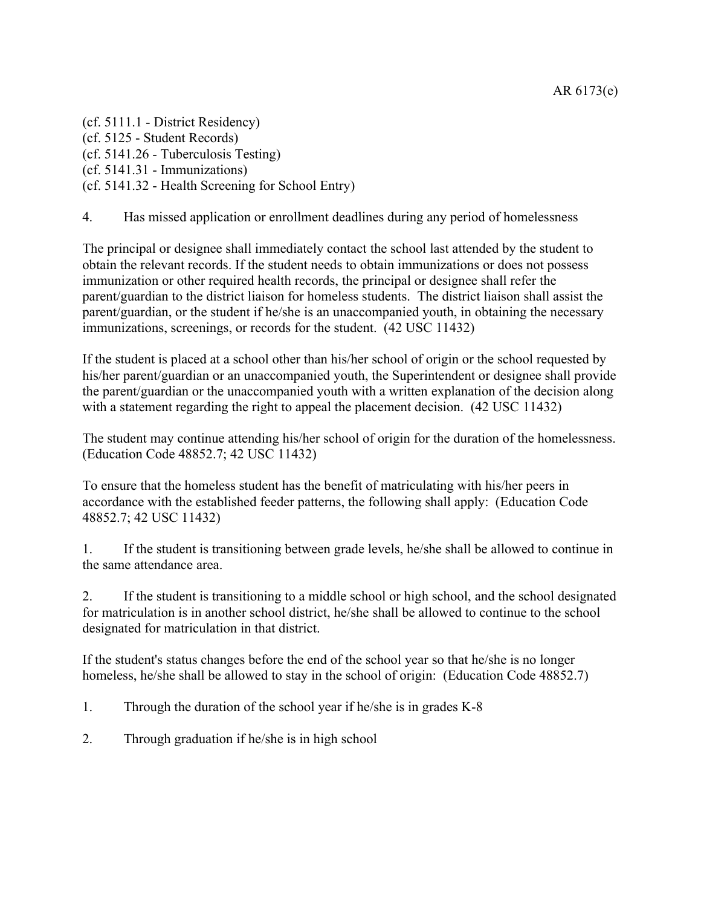(cf. 5111.1 - District Residency) (cf. 5125 - Student Records) (cf. 5141.26 - Tuberculosis Testing) (cf. 5141.31 - Immunizations) (cf. 5141.32 - Health Screening for School Entry)

4. Has missed application or enrollment deadlines during any period of homelessness

The principal or designee shall immediately contact the school last attended by the student to obtain the relevant records. If the student needs to obtain immunizations or does not possess immunization or other required health records, the principal or designee shall refer the parent/guardian to the district liaison for homeless students. The district liaison shall assist the parent/guardian, or the student if he/she is an unaccompanied youth, in obtaining the necessary immunizations, screenings, or records for the student. (42 USC 11432)

If the student is placed at a school other than his/her school of origin or the school requested by his/her parent/guardian or an unaccompanied youth, the Superintendent or designee shall provide the parent/guardian or the unaccompanied youth with a written explanation of the decision along with a statement regarding the right to appeal the placement decision. (42 USC 11432)

The student may continue attending his/her school of origin for the duration of the homelessness. (Education Code 48852.7; 42 USC 11432)

To ensure that the homeless student has the benefit of matriculating with his/her peers in accordance with the established feeder patterns, the following shall apply: (Education Code 48852.7; 42 USC 11432)

1. If the student is transitioning between grade levels, he/she shall be allowed to continue in the same attendance area.

2. If the student is transitioning to a middle school or high school, and the school designated for matriculation is in another school district, he/she shall be allowed to continue to the school designated for matriculation in that district.

If the student's status changes before the end of the school year so that he/she is no longer homeless, he/she shall be allowed to stay in the school of origin: (Education Code 48852.7)

1. Through the duration of the school year if he/she is in grades K-8

2. Through graduation if he/she is in high school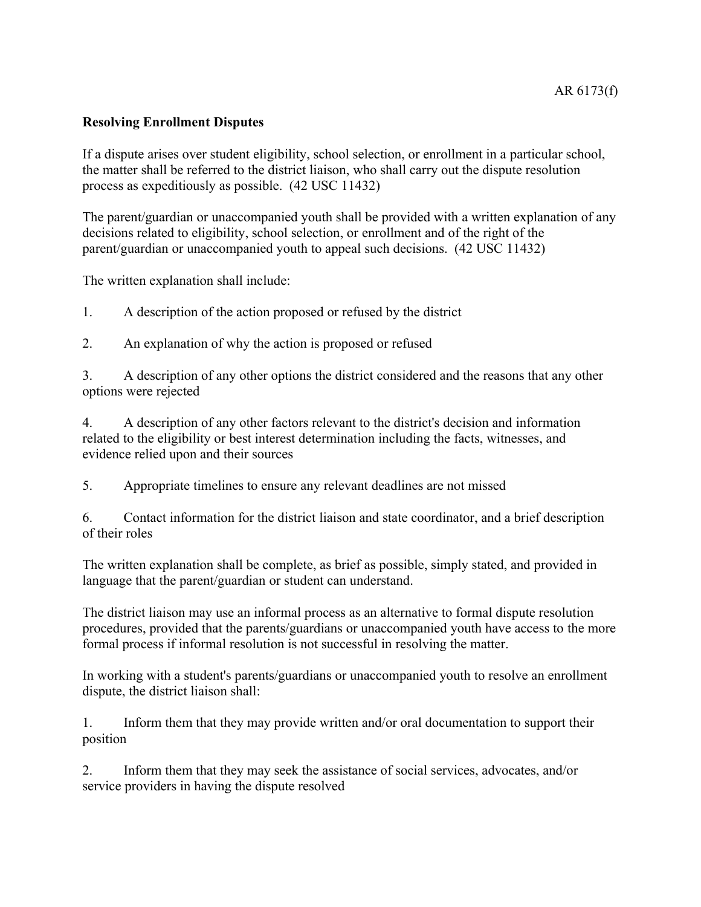### AR 6173(f)

### **Resolving Enrollment Disputes**

If a dispute arises over student eligibility, school selection, or enrollment in a particular school, the matter shall be referred to the district liaison, who shall carry out the dispute resolution process as expeditiously as possible. (42 USC 11432)

The parent/guardian or unaccompanied youth shall be provided with a written explanation of any decisions related to eligibility, school selection, or enrollment and of the right of the parent/guardian or unaccompanied youth to appeal such decisions. (42 USC 11432)

The written explanation shall include:

1. A description of the action proposed or refused by the district

2. An explanation of why the action is proposed or refused

3. A description of any other options the district considered and the reasons that any other options were rejected

4. A description of any other factors relevant to the district's decision and information related to the eligibility or best interest determination including the facts, witnesses, and evidence relied upon and their sources

5. Appropriate timelines to ensure any relevant deadlines are not missed

6. Contact information for the district liaison and state coordinator, and a brief description of their roles

The written explanation shall be complete, as brief as possible, simply stated, and provided in language that the parent/guardian or student can understand.

The district liaison may use an informal process as an alternative to formal dispute resolution procedures, provided that the parents/guardians or unaccompanied youth have access to the more formal process if informal resolution is not successful in resolving the matter.

In working with a student's parents/guardians or unaccompanied youth to resolve an enrollment dispute, the district liaison shall:

1. Inform them that they may provide written and/or oral documentation to support their position

2. Inform them that they may seek the assistance of social services, advocates, and/or service providers in having the dispute resolved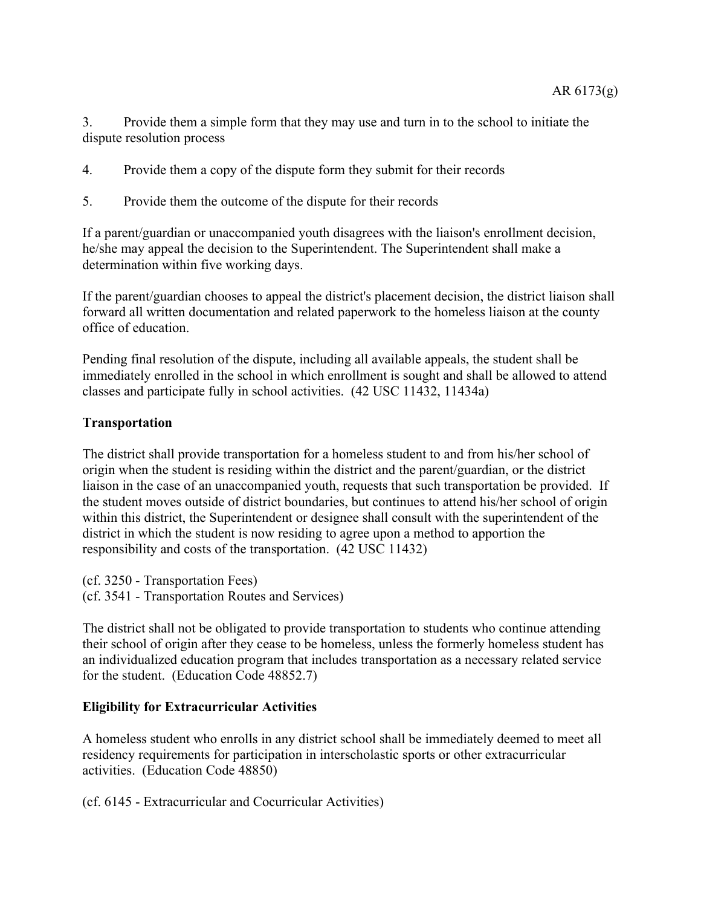3. Provide them a simple form that they may use and turn in to the school to initiate the dispute resolution process

- 4. Provide them a copy of the dispute form they submit for their records
- 5. Provide them the outcome of the dispute for their records

If a parent/guardian or unaccompanied youth disagrees with the liaison's enrollment decision, he/she may appeal the decision to the Superintendent. The Superintendent shall make a determination within five working days.

If the parent/guardian chooses to appeal the district's placement decision, the district liaison shall forward all written documentation and related paperwork to the homeless liaison at the county office of education.

Pending final resolution of the dispute, including all available appeals, the student shall be immediately enrolled in the school in which enrollment is sought and shall be allowed to attend classes and participate fully in school activities. (42 USC 11432, 11434a)

### **Transportation**

The district shall provide transportation for a homeless student to and from his/her school of origin when the student is residing within the district and the parent/guardian, or the district liaison in the case of an unaccompanied youth, requests that such transportation be provided. If the student moves outside of district boundaries, but continues to attend his/her school of origin within this district, the Superintendent or designee shall consult with the superintendent of the district in which the student is now residing to agree upon a method to apportion the responsibility and costs of the transportation. (42 USC 11432)

(cf. 3250 - Transportation Fees) (cf. 3541 - Transportation Routes and Services)

The district shall not be obligated to provide transportation to students who continue attending their school of origin after they cease to be homeless, unless the formerly homeless student has an individualized education program that includes transportation as a necessary related service for the student. (Education Code 48852.7)

### **Eligibility for Extracurricular Activities**

A homeless student who enrolls in any district school shall be immediately deemed to meet all residency requirements for participation in interscholastic sports or other extracurricular activities. (Education Code 48850)

(cf. 6145 - Extracurricular and Cocurricular Activities)